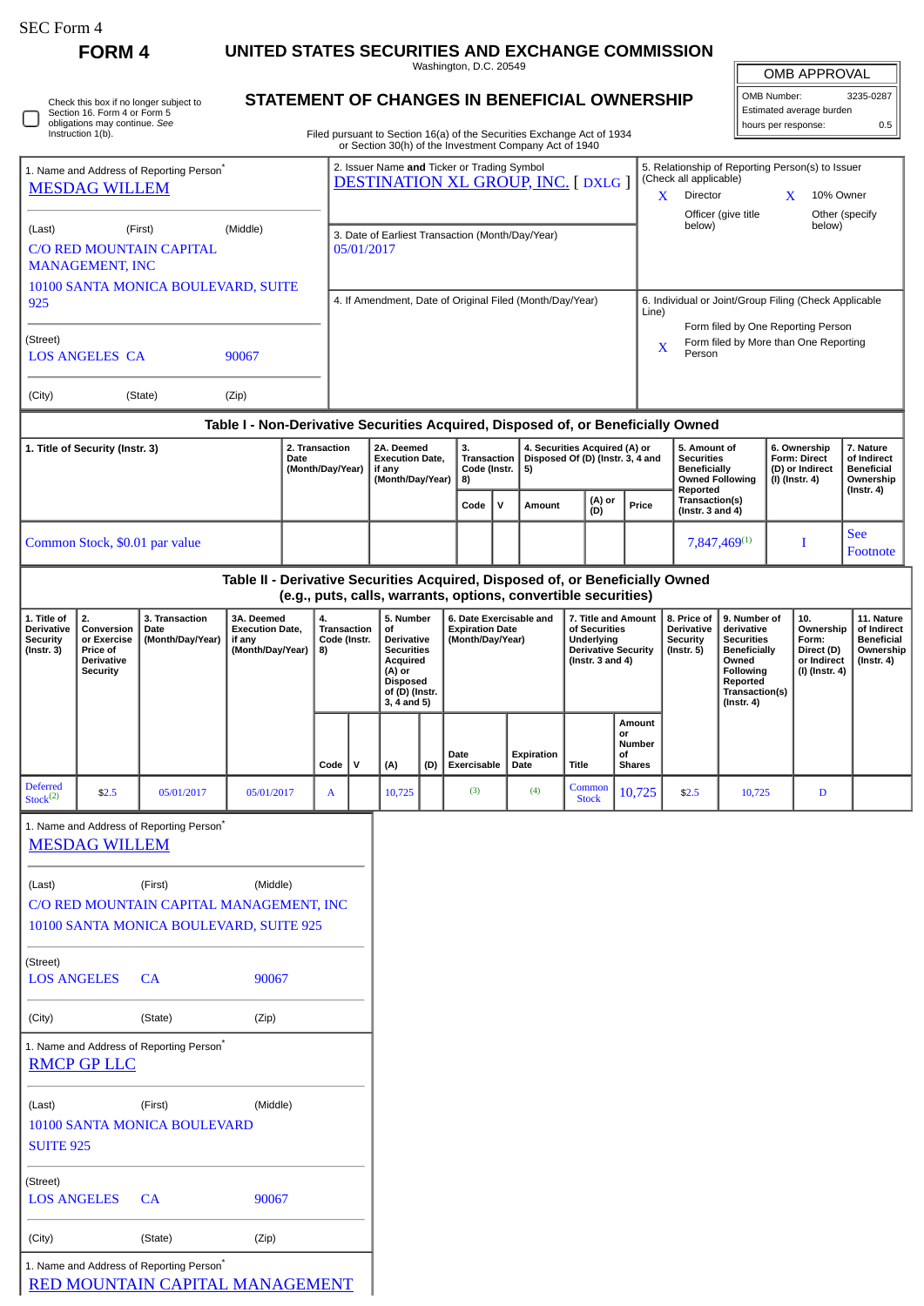| SEC Form 4 |  |
|------------|--|
|------------|--|

 $\Box$ 

| ≀RΜ |  |
|-----|--|
|-----|--|

## **FORM 4 UNITED STATES SECURITIES AND EXCHANGE COMMISSION**

Washington, D.C. 20549

## **STATEMENT OF CHANGES IN BENEFICIAL OWNERSHIP**

Filed pursuant to Section 16(a) of the Securities Exchange Act of 1934 or Section 30(h) of the Investment Company Act of 1940

| <b>OMB APPROVAL</b>      |           |  |  |  |  |
|--------------------------|-----------|--|--|--|--|
| OMB Number:              | 3235-0287 |  |  |  |  |
| Estimated average burden |           |  |  |  |  |
| hours per response:      | 0.5       |  |  |  |  |

| 1. Name and Address of Reporting Person <sup>®</sup><br><b>MESDAG WILLEM</b>                                                                                      |                                                                                     |                                                                                                |                                                                               |                                         | 2. Issuer Name and Ticker or Trading Symbol<br><b>DESTINATION XL GROUP, INC. [DXLG]</b> |                                                                |                                                                                                                                     |                                               |                                                                       |                                                                   |                    |                                                                                                           |               | 5. Relationship of Reporting Person(s) to Issuer<br>(Check all applicable)<br>10% Owner<br>X<br>Director<br>X<br>Officer (give title<br>Other (specify |                                                                   |                                                                                                                                                |                                                                                |                                                                          |                                                                           |  |
|-------------------------------------------------------------------------------------------------------------------------------------------------------------------|-------------------------------------------------------------------------------------|------------------------------------------------------------------------------------------------|-------------------------------------------------------------------------------|-----------------------------------------|-----------------------------------------------------------------------------------------|----------------------------------------------------------------|-------------------------------------------------------------------------------------------------------------------------------------|-----------------------------------------------|-----------------------------------------------------------------------|-------------------------------------------------------------------|--------------------|-----------------------------------------------------------------------------------------------------------|---------------|--------------------------------------------------------------------------------------------------------------------------------------------------------|-------------------------------------------------------------------|------------------------------------------------------------------------------------------------------------------------------------------------|--------------------------------------------------------------------------------|--------------------------------------------------------------------------|---------------------------------------------------------------------------|--|
| (Last)                                                                                                                                                            | <b>MANAGEMENT, INC</b>                                                              | (First)<br><b>C/O RED MOUNTAIN CAPITAL</b>                                                     | (Middle)                                                                      |                                         |                                                                                         | 3. Date of Earliest Transaction (Month/Day/Year)<br>05/01/2017 |                                                                                                                                     |                                               |                                                                       |                                                                   |                    |                                                                                                           |               |                                                                                                                                                        | below)                                                            |                                                                                                                                                |                                                                                | below)                                                                   |                                                                           |  |
| 10100 SANTA MONICA BOULEVARD, SUITE<br>925                                                                                                                        |                                                                                     |                                                                                                |                                                                               |                                         | 4. If Amendment, Date of Original Filed (Month/Day/Year)                                |                                                                |                                                                                                                                     |                                               |                                                                       |                                                                   |                    |                                                                                                           |               | 6. Individual or Joint/Group Filing (Check Applicable<br>Line)                                                                                         |                                                                   |                                                                                                                                                |                                                                                |                                                                          |                                                                           |  |
| (Street)<br><b>LOS ANGELES CA</b><br>90067                                                                                                                        |                                                                                     |                                                                                                |                                                                               |                                         |                                                                                         |                                                                |                                                                                                                                     |                                               |                                                                       |                                                                   |                    |                                                                                                           |               | Form filed by One Reporting Person<br>Form filed by More than One Reporting<br>X<br>Person                                                             |                                                                   |                                                                                                                                                |                                                                                |                                                                          |                                                                           |  |
| (City)                                                                                                                                                            |                                                                                     | (State)                                                                                        | (Zip)                                                                         |                                         |                                                                                         |                                                                |                                                                                                                                     |                                               |                                                                       |                                                                   |                    |                                                                                                           |               |                                                                                                                                                        |                                                                   |                                                                                                                                                |                                                                                |                                                                          |                                                                           |  |
| Table I - Non-Derivative Securities Acquired, Disposed of, or Beneficially Owned<br>2. Transaction<br>1. Title of Security (Instr. 3)<br>Date<br>(Month/Day/Year) |                                                                                     |                                                                                                |                                                                               | 2A. Deemed<br>if any                    |                                                                                         | <b>Execution Date,</b><br>(Month/Day/Year)                     |                                                                                                                                     | 3.<br>Transaction<br>Code (Instr.<br>5)<br>8) |                                                                       | 4. Securities Acquired (A) or<br>Disposed Of (D) (Instr. 3, 4 and |                    |                                                                                                           | Reported      | 5. Amount of<br><b>Securities</b><br><b>Beneficially</b><br><b>Owned Following</b>                                                                     |                                                                   | 6. Ownership<br><b>Form: Direct</b><br>(D) or Indirect<br>(I) (Instr. 4)                                                                       | 7. Nature<br>of Indirect<br><b>Beneficial</b><br>Ownership<br>$($ Instr. 4 $)$ |                                                                          |                                                                           |  |
|                                                                                                                                                                   |                                                                                     |                                                                                                |                                                                               |                                         |                                                                                         |                                                                |                                                                                                                                     |                                               | Code                                                                  | v                                                                 | <b>Amount</b>      |                                                                                                           | (A) or<br>(D) | Price                                                                                                                                                  | Transaction(s)<br>(Instr. $3$ and $4$ )                           |                                                                                                                                                |                                                                                |                                                                          |                                                                           |  |
|                                                                                                                                                                   | Common Stock, \$0.01 par value                                                      |                                                                                                |                                                                               |                                         |                                                                                         |                                                                |                                                                                                                                     |                                               |                                                                       |                                                                   |                    |                                                                                                           |               |                                                                                                                                                        |                                                                   | 7,847,469(1)                                                                                                                                   |                                                                                | I                                                                        | <b>See</b><br>Footnote                                                    |  |
|                                                                                                                                                                   |                                                                                     |                                                                                                | Table II - Derivative Securities Acquired, Disposed of, or Beneficially Owned |                                         |                                                                                         |                                                                | (e.g., puts, calls, warrants, options, convertible securities)                                                                      |                                               |                                                                       |                                                                   |                    |                                                                                                           |               |                                                                                                                                                        |                                                                   |                                                                                                                                                |                                                                                |                                                                          |                                                                           |  |
| 1. Title of<br>Derivative<br><b>Security</b><br>(Instr. 3)                                                                                                        | 2.<br>Conversion<br>or Exercise<br>Price of<br><b>Derivative</b><br><b>Security</b> | 3. Transaction<br>Date<br>(Month/Day/Year)                                                     | 3A. Deemed<br><b>Execution Date,</b><br>if any<br>(Month/Day/Year)            | 4.<br>Transaction<br>Code (Instr.<br>8) |                                                                                         |                                                                | 5. Number<br>of<br><b>Derivative</b><br><b>Securities</b><br>Acquired<br>(A) or<br><b>Disposed</b><br>of (D) (Instr.<br>3, 4 and 5) |                                               | 6. Date Exercisable and<br><b>Expiration Date</b><br>(Month/Day/Year) |                                                                   |                    | 7. Title and Amount<br>of Securities<br>Underlying<br><b>Derivative Security</b><br>(Instr. $3$ and $4$ ) |               |                                                                                                                                                        | 8. Price of<br><b>Derivative</b><br><b>Security</b><br>(Instr. 5) | 9. Number of<br>derivative<br><b>Securities</b><br><b>Beneficially</b><br>Owned<br>Following<br>Reported<br>Transaction(s)<br>$($ Instr. 4 $)$ |                                                                                | 10.<br>Ownership<br>Form:<br>Direct (D)<br>or Indirect<br>(I) (Instr. 4) | 11. Nature<br>of Indirect<br><b>Beneficial</b><br>Ownership<br>(Instr. 4) |  |
|                                                                                                                                                                   |                                                                                     |                                                                                                |                                                                               |                                         | Code                                                                                    | ${\sf v}$                                                      | (A)                                                                                                                                 | (D)                                           | Date<br>Exercisable                                                   |                                                                   | Expiration<br>Date | <b>Title</b>                                                                                              | or<br>οf      | Amount<br>Number<br><b>Shares</b>                                                                                                                      |                                                                   |                                                                                                                                                |                                                                                |                                                                          |                                                                           |  |
| <b>Deferred</b><br>Stock <sup>(2)</sup>                                                                                                                           | \$2.5                                                                               | 05/01/2017                                                                                     | 05/01/2017                                                                    |                                         | A                                                                                       |                                                                | 10,725                                                                                                                              |                                               | (3)                                                                   |                                                                   | (4)                | Common<br><b>Stock</b>                                                                                    |               | 10,725                                                                                                                                                 | \$2.5                                                             | 10,725                                                                                                                                         |                                                                                | D                                                                        |                                                                           |  |
|                                                                                                                                                                   | <b>MESDAG WILLEM</b>                                                                | 1. Name and Address of Reporting Person <sup>®</sup>                                           |                                                                               |                                         |                                                                                         |                                                                |                                                                                                                                     |                                               |                                                                       |                                                                   |                    |                                                                                                           |               |                                                                                                                                                        |                                                                   |                                                                                                                                                |                                                                                |                                                                          |                                                                           |  |
| (Last)                                                                                                                                                            |                                                                                     | (First)<br>C/O RED MOUNTAIN CAPITAL MANAGEMENT, INC<br>10100 SANTA MONICA BOULEVARD, SUITE 925 | (Middle)                                                                      |                                         |                                                                                         |                                                                |                                                                                                                                     |                                               |                                                                       |                                                                   |                    |                                                                                                           |               |                                                                                                                                                        |                                                                   |                                                                                                                                                |                                                                                |                                                                          |                                                                           |  |
| (Street)<br><b>LOS ANGELES</b>                                                                                                                                    |                                                                                     | CA                                                                                             | 90067                                                                         |                                         |                                                                                         |                                                                |                                                                                                                                     |                                               |                                                                       |                                                                   |                    |                                                                                                           |               |                                                                                                                                                        |                                                                   |                                                                                                                                                |                                                                                |                                                                          |                                                                           |  |
| (City)<br>(State)<br>(Zip)                                                                                                                                        |                                                                                     |                                                                                                |                                                                               |                                         |                                                                                         |                                                                |                                                                                                                                     |                                               |                                                                       |                                                                   |                    |                                                                                                           |               |                                                                                                                                                        |                                                                   |                                                                                                                                                |                                                                                |                                                                          |                                                                           |  |
|                                                                                                                                                                   | <b>RMCP GP LLC</b>                                                                  | 1. Name and Address of Reporting Person*                                                       |                                                                               |                                         |                                                                                         |                                                                |                                                                                                                                     |                                               |                                                                       |                                                                   |                    |                                                                                                           |               |                                                                                                                                                        |                                                                   |                                                                                                                                                |                                                                                |                                                                          |                                                                           |  |
| (Last)<br><b>SUITE 925</b>                                                                                                                                        |                                                                                     | (First)<br>10100 SANTA MONICA BOULEVARD                                                        | (Middle)                                                                      |                                         |                                                                                         |                                                                |                                                                                                                                     |                                               |                                                                       |                                                                   |                    |                                                                                                           |               |                                                                                                                                                        |                                                                   |                                                                                                                                                |                                                                                |                                                                          |                                                                           |  |
| (Street)<br><b>LOS ANGELES</b>                                                                                                                                    |                                                                                     | CA                                                                                             | 90067                                                                         |                                         |                                                                                         |                                                                |                                                                                                                                     |                                               |                                                                       |                                                                   |                    |                                                                                                           |               |                                                                                                                                                        |                                                                   |                                                                                                                                                |                                                                                |                                                                          |                                                                           |  |
| (City)                                                                                                                                                            |                                                                                     | (State)                                                                                        | (Zip)                                                                         |                                         |                                                                                         |                                                                |                                                                                                                                     |                                               |                                                                       |                                                                   |                    |                                                                                                           |               |                                                                                                                                                        |                                                                   |                                                                                                                                                |                                                                                |                                                                          |                                                                           |  |

1. Name and Address of Reporting Person\*

[RED MOUNTAIN CAPITAL MANAGEMENT](http://www.sec.gov/cgi-bin/browse-edgar?action=getcompany&CIK=0001374607)